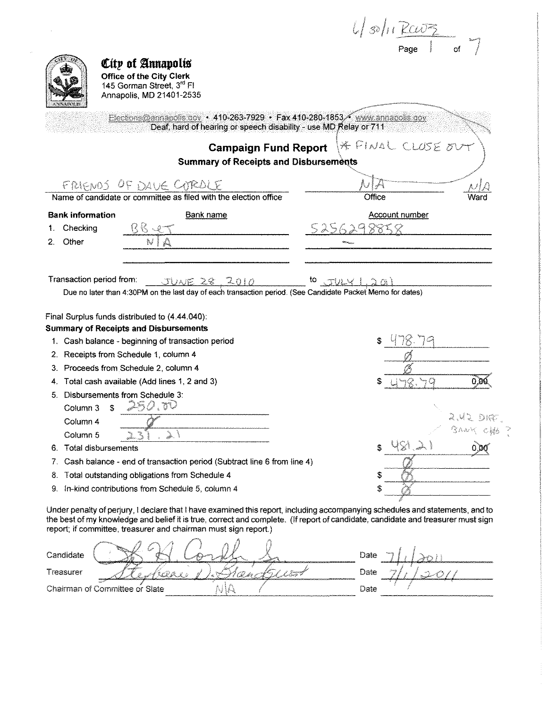|                                |                                                                                                                                                                                                                                                                                                                                      |                  | $\frac{1}{\sqrt{30}}\int_{Page}$ |      |
|--------------------------------|--------------------------------------------------------------------------------------------------------------------------------------------------------------------------------------------------------------------------------------------------------------------------------------------------------------------------------------|------------------|----------------------------------|------|
|                                |                                                                                                                                                                                                                                                                                                                                      |                  |                                  |      |
|                                | City of Annapolis<br>Office of the City Clerk<br>145 Gorman Street, 3 <sup>rd</sup> Fl<br>Annapolis, MD 21401-2535<br>Elections@annapolis.gov + 410-263-7929 + Fax 410-280-1853 / www.annapolis.gov                                                                                                                                  |                  |                                  |      |
|                                | Deaf, hard of hearing or speech disability - use MD Relay or 711                                                                                                                                                                                                                                                                     |                  |                                  |      |
|                                | <b>Campaign Fund Report</b><br><b>Summary of Receipts and Disbursements</b>                                                                                                                                                                                                                                                          |                  | * FINAL CLUSE OU                 |      |
|                                | FRIENDS OF DAVE CURDLE                                                                                                                                                                                                                                                                                                               |                  |                                  |      |
|                                | Name of candidate or committee as filed with the election office                                                                                                                                                                                                                                                                     | <b>Office</b>    |                                  |      |
| <b>Bank information</b>        | Bank name                                                                                                                                                                                                                                                                                                                            |                  | <b>Account number</b>            |      |
| Checking                       | <u>BB 40</u>                                                                                                                                                                                                                                                                                                                         | 5256298858       |                                  |      |
| Other<br>2.                    |                                                                                                                                                                                                                                                                                                                                      |                  |                                  |      |
|                                |                                                                                                                                                                                                                                                                                                                                      |                  |                                  |      |
| Transaction period from:       | JUNE 28, 2010<br>Due no later than 4:30PM on the last day of each transaction period. (See Candidate Packet Memo for dates)                                                                                                                                                                                                          | <b>to</b> JULY 1 |                                  |      |
|                                | Final Surplus funds distributed to (4.44.040):                                                                                                                                                                                                                                                                                       |                  |                                  |      |
|                                | <b>Summary of Receipts and Disbursements</b>                                                                                                                                                                                                                                                                                         |                  |                                  |      |
|                                | 1. Cash balance - beginning of transaction period<br>2. Receipts from Schedule 1, column 4                                                                                                                                                                                                                                           |                  |                                  |      |
|                                | 3. Proceeds from Schedule 2, column 4                                                                                                                                                                                                                                                                                                |                  |                                  |      |
|                                | 4. Total cash available (Add lines 1, 2 and 3)                                                                                                                                                                                                                                                                                       |                  |                                  | 0.DK |
|                                | Disbursements from Schedule 3:                                                                                                                                                                                                                                                                                                       |                  |                                  |      |
| S.<br>Column 3                 | 250.70                                                                                                                                                                                                                                                                                                                               |                  |                                  |      |
| Column 4                       |                                                                                                                                                                                                                                                                                                                                      |                  |                                  |      |
| Column 5                       | Zon.                                                                                                                                                                                                                                                                                                                                 |                  |                                  |      |
| Total disbursements<br>6.      |                                                                                                                                                                                                                                                                                                                                      | \$               | 4815                             |      |
| 7.                             | Cash balance - end of transaction period (Subtract line 6 from line 4)                                                                                                                                                                                                                                                               |                  |                                  |      |
| 8.                             | Total outstanding obligations from Schedule 4                                                                                                                                                                                                                                                                                        | \$               |                                  |      |
| 9.                             | In-kind contributions from Schedule 5, column 4                                                                                                                                                                                                                                                                                      | \$               |                                  |      |
|                                | Under penalty of perjury, I declare that I have examined this report, including accompanying schedules and statements, and to<br>the best of my knowledge and belief it is true, correct and complete. (If report of candidate, candidate and treasurer must sign<br>report; if committee, treasurer and chairman must sign report.) |                  |                                  |      |
| Candidate                      |                                                                                                                                                                                                                                                                                                                                      | Date             |                                  |      |
| Treasurer                      | I Leitz                                                                                                                                                                                                                                                                                                                              | Date             |                                  |      |
| Chairman of Committee or Slate |                                                                                                                                                                                                                                                                                                                                      | Date             |                                  |      |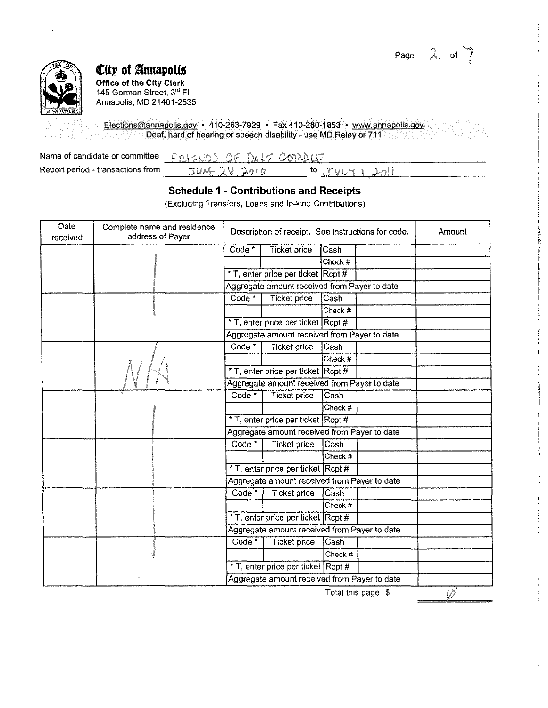



## *€itp* **of §mmpol{j**

**Office of the City Clerk**  145 Gorman Street, 3<sup>rd</sup> Fl Annapolis, MD 21401-2535

Elections@annapolis.gov • 410-263-7929 • Fax410-280-1853 • www.annapolis.gov Deaf, hard of hearing or speech disability - use MD Relay or 711 도 많은 다

| Name of candidate or committee FRIENDS OF DAVE CORDLE |             |                     |  |
|-------------------------------------------------------|-------------|---------------------|--|
| Report period - transactions from                     | JUE 28.2010 | $10$ $TVU5$ $1$ $2$ |  |

### **Schedule 1 - Contributions and Receipts**

(Excluding Transfers, Loans and In-kind Contributions)

| Amount |
|--------|
|        |
|        |
|        |
|        |
|        |
|        |
|        |
|        |
|        |
|        |
|        |
|        |
|        |
|        |
|        |
|        |
|        |
|        |
|        |
|        |
|        |
|        |
|        |
|        |
|        |
|        |
|        |
|        |
|        |

Total this page \$

*(i)*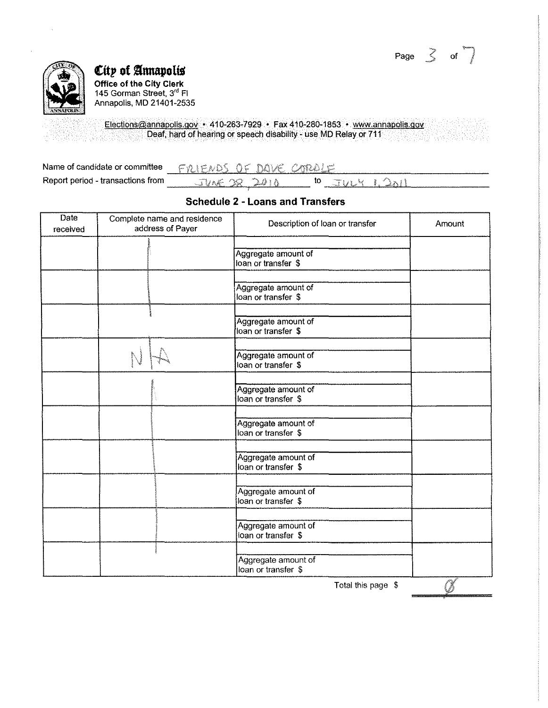Page  $\leq$  of



 $\varepsilon$ ity of Annapolis **Office of the City Clerk**  145 Gorman Street, 3<sup>re</sup> Fl Annapolis, MD 21401-2535

Elections@annapolis.gov • 410-263-7929 • Fax 410-280-1853 • www.annapolis.qoy Deaf, hard of hearing or speech disability- use MD Relay or 711

| Name of candidate or committee    | <b>FRIENDS OF DAVE CAROLE</b> |  |
|-----------------------------------|-------------------------------|--|
| Report period - transactions from | $TINE-TS-2B+A$                |  |

#### **Schedule 2 - Loans and Transfers**

| <b>Date</b><br>received | Complete name and residence<br>address of Payer | Description of loan or transfer            | Amount |
|-------------------------|-------------------------------------------------|--------------------------------------------|--------|
|                         |                                                 | Aggregate amount of<br>loan or transfer \$ |        |
|                         |                                                 | Aggregate amount of<br>loan or transfer \$ |        |
|                         |                                                 | Aggregate amount of<br>loan or transfer \$ |        |
|                         |                                                 | Aggregate amount of<br>loan or transfer \$ |        |
|                         |                                                 | Aggregate amount of<br>loan or transfer \$ |        |
|                         |                                                 | Aggregate amount of<br>loan or transfer \$ |        |
|                         |                                                 | Aggregate amount of<br>loan or transfer \$ |        |
|                         |                                                 | Aggregate amount of<br>loan or transfer \$ |        |
|                         |                                                 | Aggregate amount of<br>loan or transfer \$ |        |
|                         |                                                 | Aggregate amount of<br>loan or transfer \$ | an R   |

Total this page \$

 $\gamma$  .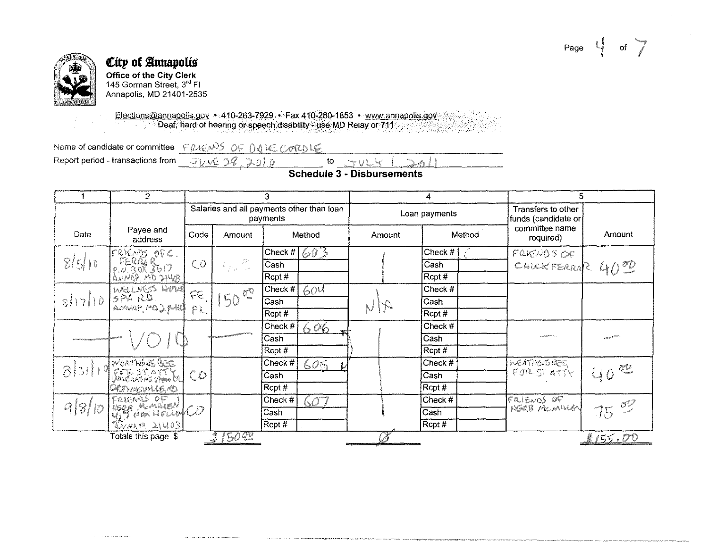Page  $\begin{bmatrix} 1 & 0 \\ 0 & 1 \end{bmatrix}$ 



#### **City of Annapolis Office of the City Clerk**  145 Gorman Street,  $3<sup>rd</sup>$  Fl Annapolis, MD 21401-2535

Elections@annapolis.gov • 410-263-7929 • Fax 410-280-1853 • www.annapolis.gov Deaf, hard of hearing or speech disability- use MD Relay or 711

Name of candidate or committee  $\frac{\text{FPLENDS OF DQUE CONDICE}}{\text{JURL D9}}$ <br>Report period - transactions from  $\frac{\text{JURL D9}}{\text{JURL D9}}$ 

to rule

**Schedule 3 - Disbursements** 

 $\rightarrow$ 

|           | 2                                            | 3                                                                                                      |              | 4                                               |        | 5                                         |                             |                 |
|-----------|----------------------------------------------|--------------------------------------------------------------------------------------------------------|--------------|-------------------------------------------------|--------|-------------------------------------------|-----------------------------|-----------------|
|           |                                              | Salaries and all payments other than loan<br>payments                                                  |              | Loan payments                                   |        | Transfers to other<br>funds (candidate or |                             |                 |
| Date      | Payee and<br>address                         | Code                                                                                                   | Amount       | Method                                          | Amount | Method                                    | committee name<br>required) | Amount          |
|           |                                              |                                                                                                        |              | Check $# \left[ \bigotimes \widehat{U} \right]$ |        | Check #                                   | FRIENDS OF                  |                 |
| 8/5/10    |                                              | $\mathcal{O}$                                                                                          | -32<br>작고 그  | Cash                                            |        | Cash                                      | CHICKFERROR 4000            |                 |
|           | FRIEND OFC.<br>FERRY 3617<br>ANNAP, MO 21408 |                                                                                                        |              | $\overline{\text{Rept}\,#}$                     |        | Rcpt#                                     |                             |                 |
|           | INGLIKS HOVE                                 | $\begin{pmatrix} 0 & 0 \\ 0 & 0 \\ 0 & 0 \end{pmatrix} \begin{pmatrix} 0 \\ 0 \\ 0 \\ 0 \end{pmatrix}$ |              | Check #<br>604                                  |        | Check #                                   |                             |                 |
| $8  7  0$ | SPARD FE,                                    |                                                                                                        | $150^{00}$ + | Cash                                            |        | Cash                                      |                             |                 |
|           |                                              |                                                                                                        |              | Rcpt #                                          |        | Rcpt #                                    |                             |                 |
|           |                                              |                                                                                                        |              | Check #<br>606                                  |        | Check #                                   |                             |                 |
|           |                                              |                                                                                                        |              | Cash                                            |        | Cash                                      |                             |                 |
|           |                                              |                                                                                                        |              | Rcpt #                                          |        | Rcpt #                                    |                             |                 |
|           | <b>MEATIVERS BEE</b>                         |                                                                                                        |              | Check #<br>605                                  |        | Check #                                   | WEATABASSES                 |                 |
| 8131119   | COLSTATTE                                    | $\mathcal{C}$                                                                                          |              | Cash                                            |        | Cash                                      | FORSTATTY                   | a dhe që një    |
|           | GRINNSVILLE, PED.                            |                                                                                                        |              | Rcpt#                                           |        | Rcpt#                                     |                             |                 |
|           |                                              |                                                                                                        |              | Check #<br>QQ.                                  |        | Check #                                   | FRIENDS OF                  |                 |
| 918/1c    | FRIENDS OF                                   |                                                                                                        |              | Cash                                            |        | Cash                                      | HEREB MEMILION              |                 |
|           | XNNR 214031                                  |                                                                                                        |              | Rcpt #                                          |        | Rcpt#                                     |                             |                 |
|           | Totals this page \$                          |                                                                                                        | <b>5022</b>  |                                                 |        |                                           |                             | <u>\$155.00</u> |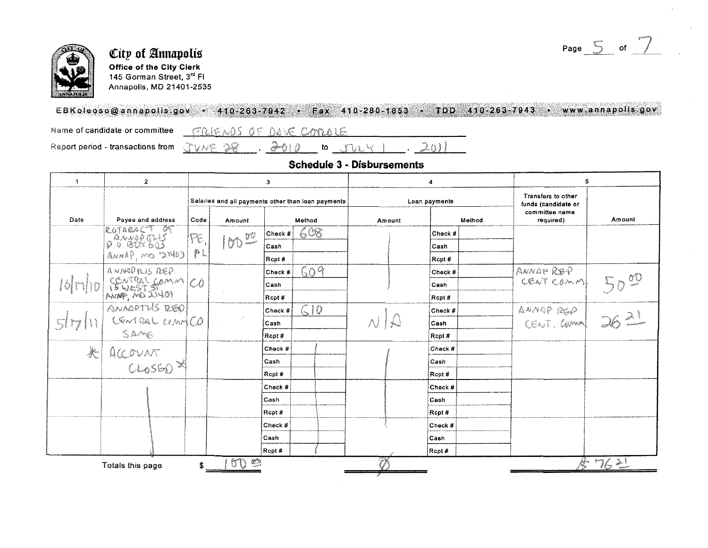Page  $\overline{5}$  of  $\overline{7}$ 



## City of Annapolis Office of the City Clerk 145 Gorman Street, 3"' Fl Annapolis, MD 21401-2535

## EB Koleoso@annapolis.gov · 410-263-7942 · Fax 410-280-1853 · TDD 410-263-7943 · www.annapolis.gov

Name of candidate or committee

FRIENDS OF DAVE COORDIE

Report period - transactions from

 $.3010$  to  $JULY$ VNE 22

## Schedule 3 - Disbursements

 $201$ 

| 1                                         | $\mathbf{2}$      | 3                                                  |                         | 4                 |         | 5                                         |        |
|-------------------------------------------|-------------------|----------------------------------------------------|-------------------------|-------------------|---------|-------------------------------------------|--------|
|                                           |                   | Salaries and all payments other than loan payments |                         | Loan payments     |         | Transfers to other<br>funds (candidate or |        |
| Date                                      | Payee and address | Code<br>Amount                                     | Method                  | Amount            | Method  | committee name<br>required)               | Amount |
|                                           | ROTAGAET OF       | FE.                                                | 608<br>Check #          |                   | Check # |                                           |        |
|                                           |                   | 10000                                              | Cash                    |                   | Cash    |                                           |        |
|                                           | RUME OM, GANNA    | p.                                                 | Rcpt #                  |                   | Rcpt#   |                                           |        |
|                                           | ANNAPALIS REP.    |                                                    | 609<br>Check #          |                   | Check # | ANNAP REP                                 |        |
|                                           | SEWESTSAMM CO     |                                                    | Cash                    |                   | Cash    | CENT COMM!                                |        |
|                                           |                   |                                                    | Rcpt #                  |                   | Rcpt#   |                                           |        |
|                                           |                   |                                                    | C10<br>$ {\rm Check}\#$ |                   | Check # |                                           |        |
| 5 <sup>1</sup>                            |                   |                                                    | Cash                    | $\wedge$ $\vdash$ | Cash    | AMMAP REP 362                             |        |
|                                           | ANAGOTIS DEO      |                                                    | Rcpt#                   |                   | Rept#   |                                           |        |
| $\left \left \left \right \right \right $ |                   |                                                    | Check #                 |                   | Check # |                                           |        |
|                                           | ACCOUNT           |                                                    | <b>Cash</b>             |                   | Cash    |                                           |        |
|                                           |                   |                                                    | Rcot#                   |                   | Rcpt#   |                                           |        |
|                                           |                   |                                                    | Check #                 |                   | Check # |                                           |        |
|                                           |                   |                                                    | <b>Cash</b>             |                   | Cash    |                                           |        |
|                                           |                   |                                                    | Rcpt#                   |                   | Rcpt#   |                                           |        |
|                                           |                   |                                                    | Check #                 |                   | Check # |                                           |        |
|                                           |                   |                                                    | ∣Cash                   |                   | Cash    |                                           |        |
|                                           |                   |                                                    | Recpt#                  |                   | Rcpt#   |                                           |        |
|                                           | Totals this page  | S                                                  |                         |                   |         | 今 つら デ                                    |        |
|                                           |                   |                                                    |                         |                   |         |                                           |        |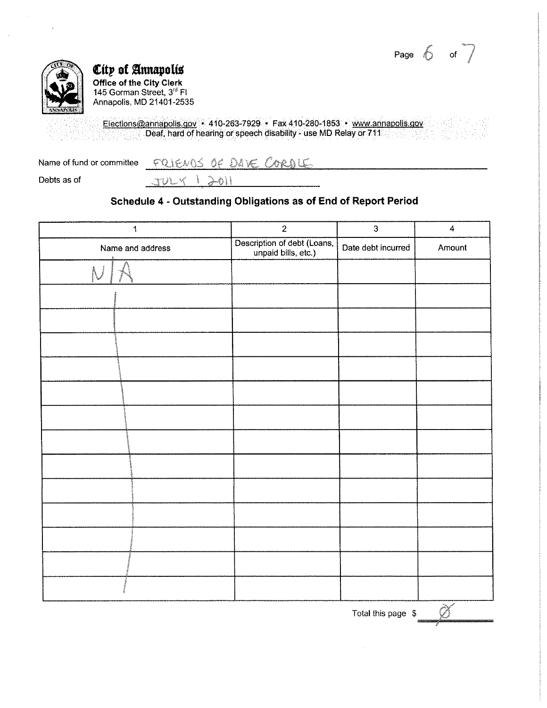Page  $6 \circ$  of  $7$ 



# **City of Annapolis**

**Office of the City Clerk**  145 Gorman Street, 3<sup>ro</sup> Fl Annapolis, MD 21401-2535

Elections@annapolis.gov • 410-263-7929 • Fax 410-280-1853 • www.annapolis.gov Deaf, hard of hearing or speech disability- use MD Relay or 711

| Name of fund or committee | PRIENCIS OF DAVE CORDIE |  |
|---------------------------|-------------------------|--|
| Debts as of               | STULY 1 201             |  |

## **Schedule 4 - Outstanding Obligations as of End of Report Period**

| $\ddagger$       | $\sqrt{2}$                                         | $\mathbf 3$        | $\overline{\mathbf{4}}$ |
|------------------|----------------------------------------------------|--------------------|-------------------------|
| Name and address | Description of debt (Loans,<br>unpaid bills, etc.) | Date debt incurred | Amount                  |
|                  |                                                    |                    |                         |
|                  |                                                    |                    |                         |
|                  |                                                    |                    |                         |
|                  |                                                    |                    |                         |
|                  |                                                    |                    |                         |
|                  |                                                    |                    |                         |
|                  |                                                    |                    |                         |
|                  |                                                    |                    |                         |
|                  |                                                    |                    |                         |
|                  |                                                    |                    |                         |
|                  |                                                    |                    |                         |
|                  |                                                    |                    |                         |
|                  |                                                    |                    |                         |
|                  |                                                    |                    |                         |
|                  |                                                    | Total this page \$ |                         |

*g*